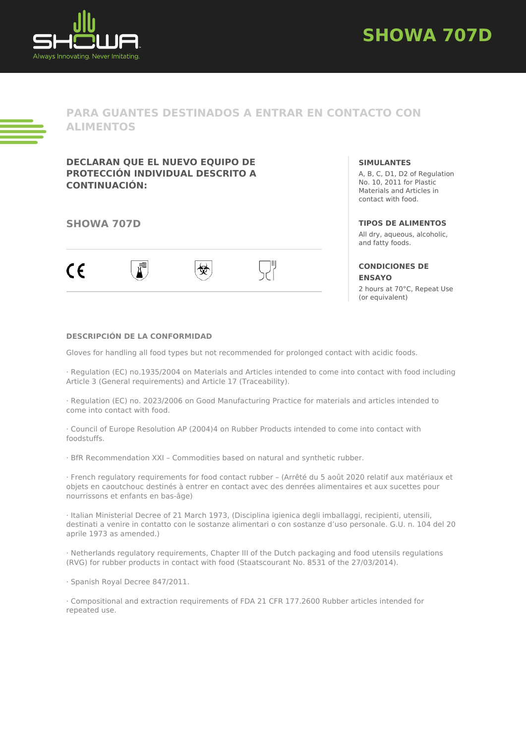



**PARA GUANTES DESTINADOS A ENTRAR EN CONTACTO CON ALIMENTOS**

**DECLARAN QUE EL NUEVO EQUIPO DE PROTECCIÓN INDIVIDUAL DESCRITO A CONTINUACIÓN:**

## **SHOWA 707D**



**SIMULANTES**

A, B, C, D1, D2 of Regulation No. 10, 2011 for Plastic Materials and Articles in contact with food.

### **TIPOS DE ALIMENTOS**

All dry, aqueous, alcoholic, and fatty foods.

### **CONDICIONES DE ENSAYO**

2 hours at 70°C, Repeat Use (or equivalent)

### **DESCRIPCIÓN DE LA CONFORMIDAD**

Gloves for handling all food types but not recommended for prolonged contact with acidic foods.

· Regulation (EC) no.1935/2004 on Materials and Articles intended to come into contact with food including Article 3 (General requirements) and Article 17 (Traceability).

· Regulation (EC) no. 2023/2006 on Good Manufacturing Practice for materials and articles intended to come into contact with food.

· Council of Europe Resolution AP (2004)4 on Rubber Products intended to come into contact with foodstuffs.

· BfR Recommendation XXI – Commodities based on natural and synthetic rubber.

· French regulatory requirements for food contact rubber – (Arrêté du 5 août 2020 relatif aux matériaux et objets en caoutchouc destinés à entrer en contact avec des denrées alimentaires et aux sucettes pour nourrissons et enfants en bas-âge)

· Italian Ministerial Decree of 21 March 1973, (Disciplina igienica degli imballaggi, recipienti, utensili, destinati a venire in contatto con le sostanze alimentari o con sostanze d'uso personale. G.U. n. 104 del 20 aprile 1973 as amended.)

· Netherlands regulatory requirements, Chapter III of the Dutch packaging and food utensils regulations (RVG) for rubber products in contact with food (Staatscourant No. 8531 of the 27/03/2014).

· Spanish Royal Decree 847/2011.

· Compositional and extraction requirements of FDA 21 CFR 177.2600 Rubber articles intended for repeated use.